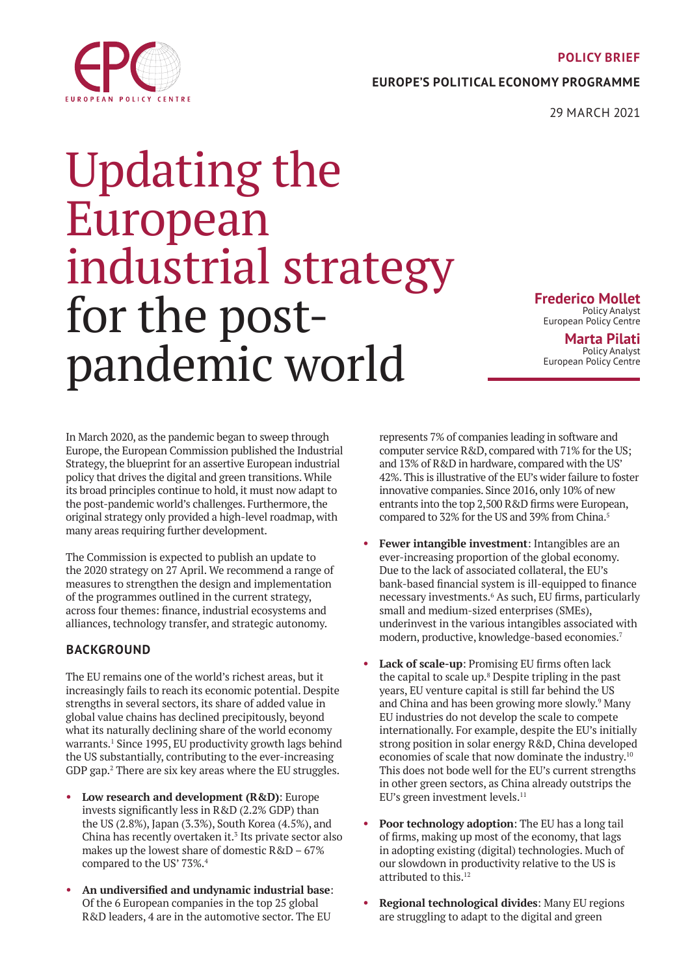#### **POLICY BRIEF**

**EUROPE'S POLITICAL ECONOMY PROGRAMME**

29 MARCH 2021

# Updating the European industrial strategy for the postpandemic world

**Frederico Mollet** Policy Analyst European Policy Centre **Marta Pilati**

Policy Analyst European Policy Centre

In March 2020, as the pandemic began to sweep through Europe, the European Commission published the Industrial Strategy, the blueprint for an assertive European industrial policy that drives the digital and green transitions. While its broad principles continue to hold, it must now adapt to the post-pandemic world's challenges. Furthermore, the original strategy only provided a high-level roadmap, with many areas requiring further development.

The Commission is expected to publish an update to the 2020 strategy on 27 April. We recommend a range of measures to strengthen the design and implementation of the programmes outlined in the current strategy, across four themes: finance, industrial ecosystems and alliances, technology transfer, and strategic autonomy.

## **BACKGROUND**

The EU remains one of the world's richest areas, but it increasingly fails to reach its economic potential. Despite strengths in several sectors, its share of added value in global value chains has declined precipitously, beyond what its naturally declining share of the world economy warrants.[1](#page-3-0) Since 1995, EU productivity growth lags behind the US substantially, contributing to the ever-increasing GDP gap[.2](#page-3-0) There are six key areas where the EU struggles.

- **Low research and development (R&D)**: Europe invests significantly less in R&D (2.2% GDP) than the US (2.8%), Japan (3.3%), South Korea (4.5%), and China has recently overtaken it. $3$  Its private sector also makes up the lowest share of domestic R&D – 67% compared to the US' 73%.[4](#page-3-0)
- **An undiversified and undynamic industrial base**: Of the 6 European companies in the top 25 global R&D leaders, 4 are in the automotive sector. The EU

represents 7% of companies leading in software and computer service R&D, compared with 71% for the US; and 13% of R&D in hardware, compared with the US' 42%. This is illustrative of the EU's wider failure to foster innovative companies. Since 2016, only 10% of new entrants into the top 2,500 R&D firms were European, compared to 32% for the US and 39% from China.<sup>[5](#page-3-0)</sup>

- **Fewer intangible investment**: Intangibles are an ever-increasing proportion of the global economy. Due to the lack of associated collateral, the EU's bank-based financial system is ill-equipped to finance necessary investments.<sup>[6](#page-3-0)</sup> As such, EU firms, particularly small and medium-sized enterprises (SMEs), underinvest in the various intangibles associated with modern, productive, knowledge-based economies[.7](#page-3-0)
- **Lack of scale-up**: Promising EU firms often lack the capital to scale up.<sup>[8](#page-3-0)</sup> Despite tripling in the past years, EU venture capital is still far behind the US and China and has been growing more slowly.<sup>9</sup> Many EU industries do not develop the scale to compete internationally. For example, despite the EU's initially strong position in solar energy R&D, China developed economies of scale that now dominate the industry.<sup>[10](#page-3-0)</sup> This does not bode well for the EU's current strengths in other green sectors, as China already outstrips the EU's green investment levels.<sup>[11](#page-3-0)</sup>
- **Poor technology adoption**: The EU has a long tail of firms, making up most of the economy, that lags in adopting existing (digital) technologies. Much of our slowdown in productivity relative to the US is attributed to this.<sup>12</sup>
- **Regional technological divides**: Many EU regions are struggling to adapt to the digital and green

<span id="page-0-0"></span>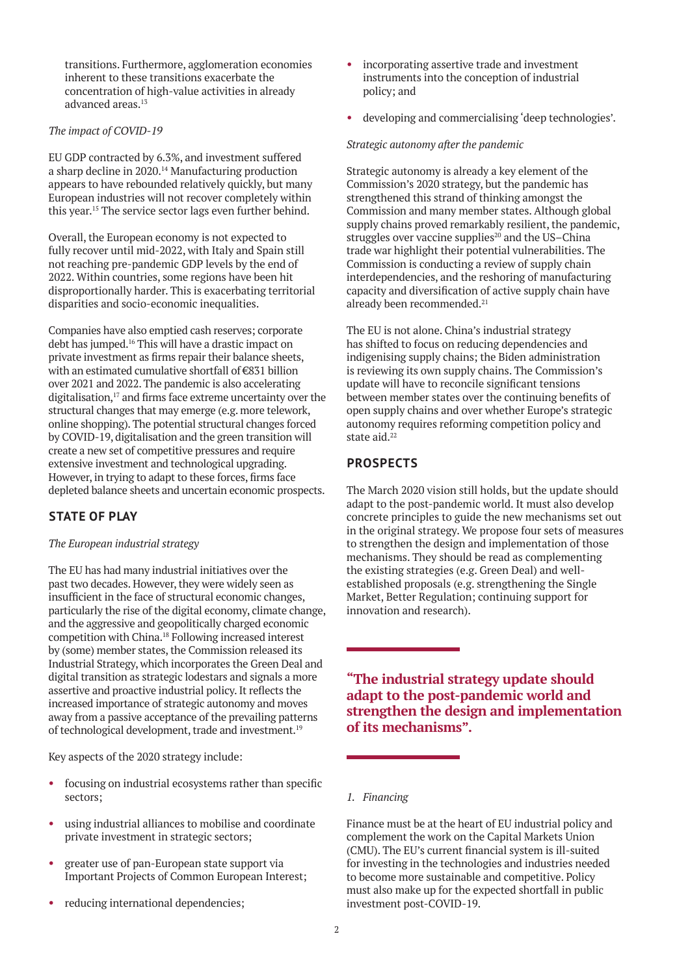<span id="page-1-0"></span>transitions. Furthermore, agglomeration economies inherent to these transitions exacerbate the concentration of high-value activities in already advanced areas.[13](#page-3-0)

### *The impact of COVID-19*

EU GDP contracted by 6.3%, and investment suffered a sharp decline in 2020.[14](#page-3-0) Manufacturing production appears to have rebounded relatively quickly, but many European industries will not recover completely within this year.[15](#page-3-0) The service sector lags even further behind.

Overall, the European economy is not expected to fully recover until mid-2022, with Italy and Spain still not reaching pre-pandemic GDP levels by the end of 2022. Within countries, some regions have been hit disproportionally harder. This is exacerbating territorial disparities and socio-economic inequalities.

Companies have also emptied cash reserves; corporate debt has jumped.[16](#page-3-0) This will have a drastic impact on private investment as firms repair their balance sheets, with an estimated cumulative shortfall of €831 billion over 2021 and 2022. The pandemic is also accelerating digitalisation,<sup>[17](#page-3-0)</sup> and firms face extreme uncertainty over the structural changes that may emerge (e.g. more telework, online shopping). The potential structural changes forced by COVID-19, digitalisation and the green transition will create a new set of competitive pressures and require extensive investment and technological upgrading. However, in trying to adapt to these forces, firms face depleted balance sheets and uncertain economic prospects.

## **STATE OF PLAY**

#### *The European industrial strategy*

The EU has had many industrial initiatives over the past two decades. However, they were widely seen as insufficient in the face of structural economic changes, particularly the rise of the digital economy, climate change, and the aggressive and geopolitically charged economic competition with China.[18](#page-3-0) Following increased interest by (some) member states, the Commission released its Industrial Strategy, which incorporates the Green Deal and digital transition as strategic lodestars and signals a more assertive and proactive industrial policy. It reflects the increased importance of strategic autonomy and moves away from a passive acceptance of the prevailing patterns of technological development, trade and investment[.19](#page-3-0)

Key aspects of the 2020 strategy include:

- focusing on industrial ecosystems rather than specific sectors;
- using industrial alliances to mobilise and coordinate private investment in strategic sectors;
- greater use of pan-European state support via Important Projects of Common European Interest;
- reducing international dependencies;
- incorporating assertive trade and investment instruments into the conception of industrial policy; and
- developing and commercialising 'deep technologies'.

#### *Strategic autonomy after the pandemic*

Strategic autonomy is already a key element of the Commission's 2020 strategy, but the pandemic has strengthened this strand of thinking amongst the Commission and many member states. Although global supply chains proved remarkably resilient, the pandemic, struggles over vaccine supplies<sup>[20](#page-3-0)</sup> and the US–China trade war highlight their potential vulnerabilities. The Commission is conducting a review of supply chain interdependencies, and the reshoring of manufacturing capacity and diversification of active supply chain have already been recommended.<sup>[21](#page-3-0)</sup>

The EU is not alone. China's industrial strategy has shifted to focus on reducing dependencies and indigenising supply chains; the Biden administration is reviewing its own supply chains. The Commission's update will have to reconcile significant tensions between member states over the continuing benefits of open supply chains and over whether Europe's strategic autonomy requires reforming competition policy and state aid. $22$ 

## **PROSPECTS**

The March 2020 vision still holds, but the update should adapt to the post-pandemic world. It must also develop concrete principles to guide the new mechanisms set out in the original strategy. We propose four sets of measures to strengthen the design and implementation of those mechanisms. They should be read as complementing the existing strategies (e.g. Green Deal) and wellestablished proposals (e.g. strengthening the Single Market, Better Regulation; continuing support for innovation and research).

**"The industrial strategy update should adapt to the post-pandemic world and strengthen the design and implementation of its mechanisms".**

#### *1. Financing*

Finance must be at the heart of EU industrial policy and complement the work on the Capital Markets Union (CMU). The EU's current financial system is ill-suited for investing in the technologies and industries needed to become more sustainable and competitive. Policy must also make up for the expected shortfall in public investment post-COVID-19.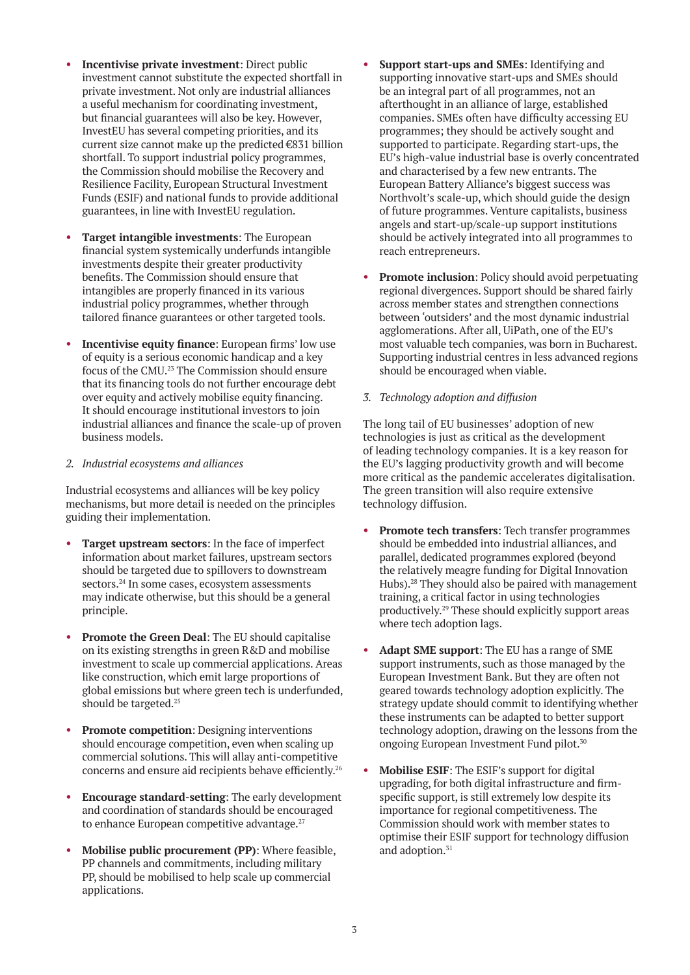- <span id="page-2-0"></span>**Incentivise private investment:** Direct public investment cannot substitute the expected shortfall in private investment. Not only are industrial alliances a useful mechanism for coordinating investment, but financial guarantees will also be key. However, InvestEU has several competing priorities, and its current size cannot make up the predicted €831 billion shortfall. To support industrial policy programmes, the Commission should mobilise the Recovery and Resilience Facility, European Structural Investment Funds (ESIF) and national funds to provide additional guarantees, in line with InvestEU regulation.
- **Target intangible investments**: The European financial system systemically underfunds intangible investments despite their greater productivity benefits. The Commission should ensure that intangibles are properly financed in its various industrial policy programmes, whether through tailored finance guarantees or other targeted tools.
- **Incentivise equity finance**: European firms' low use of equity is a serious economic handicap and a key focus of the CMU.[23](#page-3-0) The Commission should ensure that its financing tools do not further encourage debt over equity and actively mobilise equity financing. It should encourage institutional investors to join industrial alliances and finance the scale-up of proven business models.

#### *2. Industrial ecosystems and alliances*

Industrial ecosystems and alliances will be key policy mechanisms, but more detail is needed on the principles guiding their implementation.

- **Target upstream sectors**: In the face of imperfect information about market failures, upstream sectors should be targeted due to spillovers to downstream sectors.[24](#page-3-0) In some cases, ecosystem assessments may indicate otherwise, but this should be a general principle.
- **Promote the Green Deal**: The EU should capitalise on its existing strengths in green R&D and mobilise investment to scale up commercial applications. Areas like construction, which emit large proportions of global emissions but where green tech is underfunded, should be targeted.<sup>25</sup>
- **Promote competition**: Designing interventions should encourage competition, even when scaling up commercial solutions. This will allay anti-competitive concerns and ensure aid recipients behave efficiently[.26](#page-3-0)
- **Encourage standard-setting**: The early development and coordination of standards should be encouraged to enhance European competitive advantage.<sup>27</sup>
- **Mobilise public procurement (PP)**: Where feasible, PP channels and commitments, including military PP, should be mobilised to help scale up commercial applications.
- **Support start-ups and SMEs**: Identifying and supporting innovative start-ups and SMEs should be an integral part of all programmes, not an afterthought in an alliance of large, established companies. SMEs often have difficulty accessing EU programmes; they should be actively sought and supported to participate. Regarding start-ups, the EU's high-value industrial base is overly concentrated and characterised by a few new entrants. The European Battery Alliance's biggest success was Northvolt's scale-up, which should guide the design of future programmes. Venture capitalists, business angels and start-up/scale-up support institutions should be actively integrated into all programmes to reach entrepreneurs.
- **Promote inclusion**: Policy should avoid perpetuating regional divergences. Support should be shared fairly across member states and strengthen connections between 'outsiders' and the most dynamic industrial agglomerations. After all, UiPath, one of the EU's most valuable tech companies, was born in Bucharest. Supporting industrial centres in less advanced regions should be encouraged when viable.
- *3. Technology adoption and diffusion*

The long tail of EU businesses' adoption of new technologies is just as critical as the development of leading technology companies. It is a key reason for the EU's lagging productivity growth and will become more critical as the pandemic accelerates digitalisation. The green transition will also require extensive technology diffusion.

- **Promote tech transfers**: Tech transfer programmes should be embedded into industrial alliances, and parallel, dedicated programmes explored (beyond the relatively meagre funding for Digital Innovation Hubs).<sup>28</sup> They should also be paired with management training, a critical factor in using technologies productively[.29](#page-3-0) These should explicitly support areas where tech adoption lags.
- **Adapt SME support**: The EU has a range of SME support instruments, such as those managed by the European Investment Bank. But they are often not geared towards technology adoption explicitly. The strategy update should commit to identifying whether these instruments can be adapted to better support technology adoption, drawing on the lessons from the ongoing European Investment Fund pilot.[30](#page-3-0)
- **Mobilise ESIF**: The ESIF's support for digital upgrading, for both digital infrastructure and firmspecific support, is still extremely low despite its importance for regional competitiveness. The Commission should work with member states to optimise their ESIF support for technology diffusion and adoption.<sup>[31](#page-3-0)</sup>